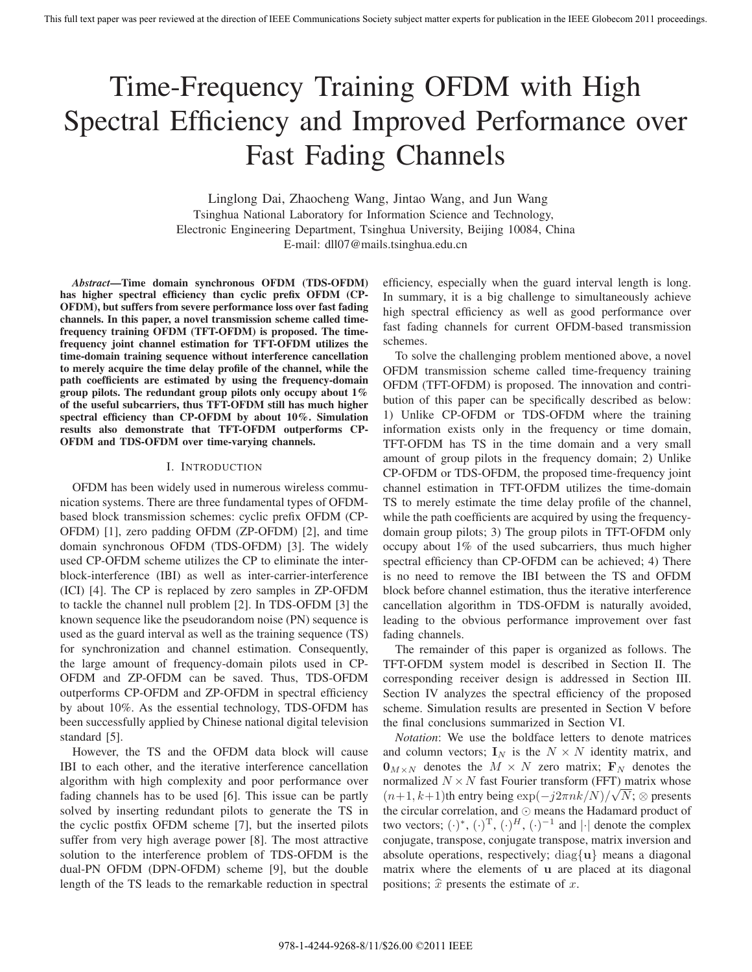# Time-Frequency Training OFDM with High Spectral Efficiency and Improved Performance over Fast Fading Channels

Linglong Dai, Zhaocheng Wang, Jintao Wang, and Jun Wang Tsinghua National Laboratory for Information Science and Technology, Electronic Engineering Department, Tsinghua University, Beijing 10084, China E-mail: dll07@mails.tsinghua.edu.cn

*Abstract***—Time domain synchronous OFDM (TDS-OFDM) has higher spectral efficiency than cyclic prefix OFDM (CP-OFDM), but suffers from severe performance loss over fast fading channels. In this paper, a novel transmission scheme called timefrequency training OFDM (TFT-OFDM) is proposed. The timefrequency joint channel estimation for TFT-OFDM utilizes the time-domain training sequence without interference cancellation to merely acquire the time delay profile of the channel, while the path coefficients are estimated by using the frequency-domain group pilots. The redundant group pilots only occupy about 1% of the useful subcarriers, thus TFT-OFDM still has much higher spectral efficiency than CP-OFDM by about 10%. Simulation results also demonstrate that TFT-OFDM outperforms CP-OFDM and TDS-OFDM over time-varying channels.**

## I. INTRODUCTION

OFDM has been widely used in numerous wireless communication systems. There are three fundamental types of OFDMbased block transmission schemes: cyclic prefix OFDM (CP-OFDM) [1], zero padding OFDM (ZP-OFDM) [2], and time domain synchronous OFDM (TDS-OFDM) [3]. The widely used CP-OFDM scheme utilizes the CP to eliminate the interblock-interference (IBI) as well as inter-carrier-interference (ICI) [4]. The CP is replaced by zero samples in ZP-OFDM to tackle the channel null problem [2]. In TDS-OFDM [3] the known sequence like the pseudorandom noise (PN) sequence is used as the guard interval as well as the training sequence (TS) for synchronization and channel estimation. Consequently, the large amount of frequency-domain pilots used in CP-OFDM and ZP-OFDM can be saved. Thus, TDS-OFDM outperforms CP-OFDM and ZP-OFDM in spectral efficiency by about 10%. As the essential technology, TDS-OFDM has been successfully applied by Chinese national digital television standard [5].

However, the TS and the OFDM data block will cause IBI to each other, and the iterative interference cancellation algorithm with high complexity and poor performance over fading channels has to be used [6]. This issue can be partly solved by inserting redundant pilots to generate the TS in the cyclic postfix OFDM scheme [7], but the inserted pilots suffer from very high average power [8]. The most attractive solution to the interference problem of TDS-OFDM is the dual-PN OFDM (DPN-OFDM) scheme [9], but the double length of the TS leads to the remarkable reduction in spectral efficiency, especially when the guard interval length is long. In summary, it is a big challenge to simultaneously achieve high spectral efficiency as well as good performance over fast fading channels for current OFDM-based transmission schemes.

To solve the challenging problem mentioned above, a novel OFDM transmission scheme called time-frequency training OFDM (TFT-OFDM) is proposed. The innovation and contribution of this paper can be specifically described as below: 1) Unlike CP-OFDM or TDS-OFDM where the training information exists only in the frequency or time domain, TFT-OFDM has TS in the time domain and a very small amount of group pilots in the frequency domain; 2) Unlike CP-OFDM or TDS-OFDM, the proposed time-frequency joint channel estimation in TFT-OFDM utilizes the time-domain TS to merely estimate the time delay profile of the channel, while the path coefficients are acquired by using the frequencydomain group pilots; 3) The group pilots in TFT-OFDM only occupy about 1% of the used subcarriers, thus much higher spectral efficiency than CP-OFDM can be achieved; 4) There is no need to remove the IBI between the TS and OFDM block before channel estimation, thus the iterative interference cancellation algorithm in TDS-OFDM is naturally avoided, leading to the obvious performance improvement over fast fading channels.

The remainder of this paper is organized as follows. The TFT-OFDM system model is described in Section II. The corresponding receiver design is addressed in Section III. Section IV analyzes the spectral efficiency of the proposed scheme. Simulation results are presented in Section V before the final conclusions summarized in Section VI.

*Notation*: We use the boldface letters to denote matrices and column vectors;  $\mathbf{I}_N$  is the  $N \times N$  identity matrix, and  $\mathbf{0}_{M\times N}$  denotes the  $M \times N$  zero matrix;  $\mathbf{F}_N$  denotes the normalized  $N \times N$  fast Fourier transform (FFT) matrix whose  $(n+1, k+1)$ th entry being  $\exp(-j2\pi n k/N)/\sqrt{N}$ ; ⊗ presents the circular correlation, and  $\odot$  means the Hadamard product of two vectors;  $(\cdot)^*,$   $(\cdot)^T$ ,  $(\cdot)^H$ ,  $(\cdot)^{-1}$  and  $|\cdot|$  denote the complex conjugate, transpose, conjugate transpose, matrix inversion and absolute operations, respectively; diag{**u**} means a diagonal matrix where the elements of **u** are placed at its diagonal positions;  $\hat{x}$  presents the estimate of x.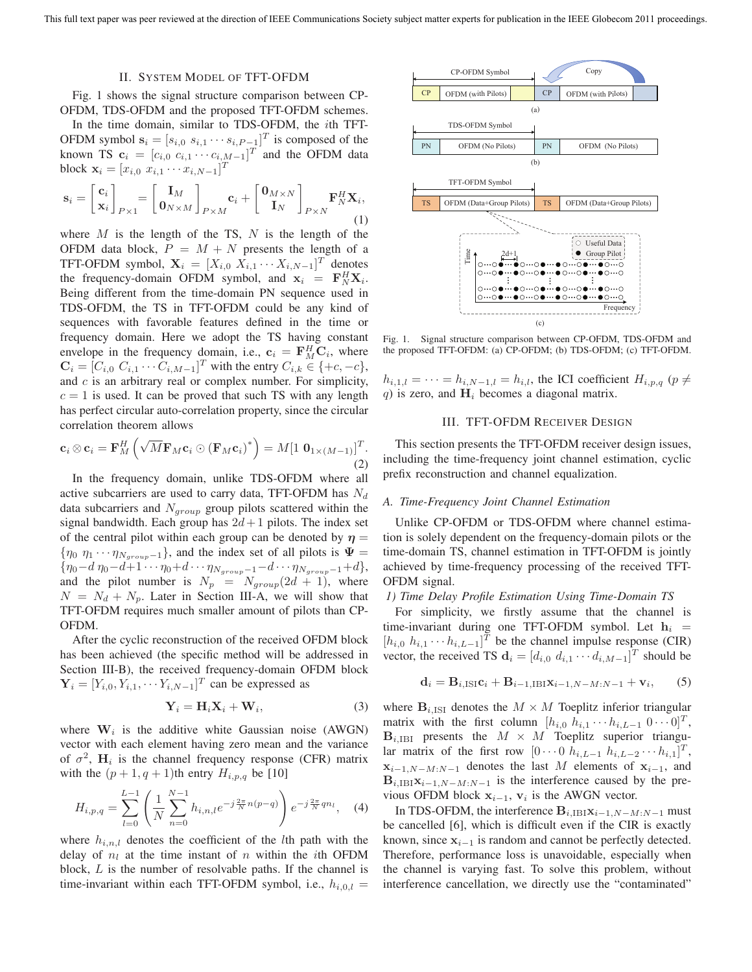#### II. SYSTEM MODEL OF TFT-OFDM

Fig. 1 shows the signal structure comparison between CP-OFDM, TDS-OFDM and the proposed TFT-OFDM schemes.

In the time domain, similar to TDS-OFDM, the ith TFT-OFDM symbol  $\mathbf{s}_i = [s_{i,0} \ s_{i,1} \cdots s_{i,P-1}]^T$  is composed of the known TS  $\mathbf{c}_i = [c_{i,0} \ c_{i,1} \cdots c_{i,M-1}]^T$  and the OFDM data block  $\mathbf{x}_i = [x_{i,0} \ x_{i,1} \cdots x_{i,N-1}]^T$ 

$$
\mathbf{s}_{i} = \begin{bmatrix} \mathbf{c}_{i} \\ \mathbf{x}_{i} \end{bmatrix}_{P \times 1} = \begin{bmatrix} \mathbf{I}_{M} \\ \mathbf{0}_{N \times M} \end{bmatrix}_{P \times M} \mathbf{c}_{i} + \begin{bmatrix} \mathbf{0}_{M \times N} \\ \mathbf{I}_{N} \end{bmatrix}_{P \times N} \mathbf{F}_{N}^{H} \mathbf{X}_{i},
$$
\n(1)

where  $M$  is the length of the TS,  $N$  is the length of the OFDM data block,  $P = M + N$  presents the length of a TFT-OFDM symbol,  $\mathbf{X}_i = [X_{i,0} \ X_{i,1} \cdots X_{i,N-1}]^T$  denotes the frequency-domain OFDM symbol, and  $\mathbf{x}_i = \mathbf{F}_N^H \mathbf{X}_i$ . Being different from the time-domain PN sequence used in TDS-OFDM, the TS in TFT-OFDM could be any kind of sequences with favorable features defined in the time or frequency domain. Here we adopt the TS having constant envelope in the frequency domain, i.e.,  $\mathbf{c}_i = \mathbf{F}_{M}^H \mathbf{C}_i$ , where  $\mathbf{C}_i = [C_{i,0} \ C_{i,1} \cdots C_{i,M-1}]^T$  with the entry  $C_{i,k} \in \{+c, -c\},$ and  $c$  is an arbitrary real or complex number. For simplicity,  $c = 1$  is used. It can be proved that such TS with any length has perfect circular auto-correlation property, since the circular correlation theorem allows

$$
\mathbf{c}_i \otimes \mathbf{c}_i = \mathbf{F}_M^H \left( \sqrt{M} \mathbf{F}_M \mathbf{c}_i \odot (\mathbf{F}_M \mathbf{c}_i)^* \right) = M \left[ 1 \ \mathbf{0}_{1 \times (M-1)} \right]^T.
$$
\n(2)

In the frequency domain, unlike TDS-OFDM where all active subcarriers are used to carry data, TFT-OFDM has  $N_d$ data subcarriers and  $N_{\text{group}}$  group pilots scattered within the signal bandwidth. Each group has  $2d+1$  pilots. The index set of the central pilot within each group can be denoted by  $\eta =$  ${\eta_0 \eta_1 \cdots \eta_{N_{group}-1}}$ , and the index set of all pilots is  $\Psi =$  ${\eta_0 - d \eta_0 - d + 1 \cdots \eta_0 + d \cdots \eta_{N_{group}-1} - d \cdots \eta_{N_{group}-1} + d},$ and the pilot number is  $N_p = N_{group}(2d + 1)$ , where  $N = N_d + N_p$ . Later in Section III-A, we will show that TFT-OFDM requires much smaller amount of pilots than CP-OFDM.

After the cyclic reconstruction of the received OFDM block has been achieved (the specific method will be addressed in Section III-B), the received frequency-domain OFDM block  $\mathbf{Y}_i = [Y_{i,0}, Y_{i,1}, \cdots Y_{i,N-1}]^T$  can be expressed as

$$
\mathbf{Y}_i = \mathbf{H}_i \mathbf{X}_i + \mathbf{W}_i,\tag{3}
$$

where  $W_i$  is the additive white Gaussian noise (AWGN) vector with each element having zero mean and the variance of  $\sigma^2$ ,  $H_i$  is the channel frequency response (CFR) matrix with the  $(p+1, q+1)$ th entry  $H_{i,p,q}$  be [10]

$$
H_{i,p,q} = \sum_{l=0}^{L-1} \left( \frac{1}{N} \sum_{n=0}^{N-1} h_{i,n,l} e^{-j\frac{2\pi}{N}n(p-q)} \right) e^{-j\frac{2\pi}{N}qn_l}, \quad (4)
$$

where  $h_{i,n,l}$  denotes the coefficient of the *l*th path with the delay of  $n_l$  at the time instant of n within the *i*th OFDM block, L is the number of resolvable paths. If the channel is time-invariant within each TFT-OFDM symbol, i.e.,  $h_{i,0,l} =$ 



Fig. 1. Signal structure comparison between CP-OFDM, TDS-OFDM and the proposed TFT-OFDM: (a) CP-OFDM; (b) TDS-OFDM; (c) TFT-OFDM.

 $h_{i,1,l} = \cdots = h_{i,N-1,l} = h_{i,l}$ , the ICI coefficient  $H_{i,p,q}$  ( $p \neq$  $q$ ) is zero, and  $H_i$  becomes a diagonal matrix.

## III. TFT-OFDM RECEIVER DESIGN

This section presents the TFT-OFDM receiver design issues, including the time-frequency joint channel estimation, cyclic prefix reconstruction and channel equalization.

## *A. Time-Frequency Joint Channel Estimation*

Unlike CP-OFDM or TDS-OFDM where channel estimation is solely dependent on the frequency-domain pilots or the time-domain TS, channel estimation in TFT-OFDM is jointly achieved by time-frequency processing of the received TFT-OFDM signal.

## *1) Time Delay Profile Estimation Using Time-Domain TS*

For simplicity, we firstly assume that the channel is time-invariant during one TFT-OFDM symbol. Let  $h_i$  =  $[h_{i,0} \; h_{i,1} \cdots h_{i,L-1}]^T$  be the channel impulse response (CIR) vector, the received TS  $\mathbf{d}_i = [d_{i,0} \ d_{i,1} \cdots d_{i,M-1}]^T$  should be

$$
\mathbf{d}_i = \mathbf{B}_{i,\mathrm{ISI}} \mathbf{c}_i + \mathbf{B}_{i-1,\mathrm{IBI}} \mathbf{x}_{i-1,N-M:N-1} + \mathbf{v}_i,\qquad(5)
$$

where  $\mathbf{B}_{i,1}$  denotes the  $M \times M$  Toeplitz inferior triangular matrix with the first column  $[h_{i,0} \; h_{i,1} \cdots h_{i,L-1} \; 0 \cdots 0]^T$ ,  $\mathbf{B}_{i,IBI}$  presents the  $M \times M$  Toeplitz superior triangular matrix of the first row  $[0 \cdots 0 \; h_{i,L-1} \; h_{i,L-2} \cdots h_{i,1}]^T$ ,  $\mathbf{x}_{i-1,N-M:N-1}$  denotes the last M elements of  $\mathbf{x}_{i-1}$ , and  $\mathbf{B}_{i,\text{IBI}}\mathbf{x}_{i-1,N-M:N-1}$  is the interference caused by the previous OFDM block  $\mathbf{x}_{i-1}$ ,  $\mathbf{v}_i$  is the AWGN vector.

In TDS-OFDM, the interference  $\mathbf{B}_{i,IBI} \mathbf{x}_{i-1,N-M:N-1}$  must be cancelled [6], which is difficult even if the CIR is exactly known, since  $x_{i-1}$  is random and cannot be perfectly detected. Therefore, performance loss is unavoidable, especially when the channel is varying fast. To solve this problem, without interference cancellation, we directly use the "contaminated"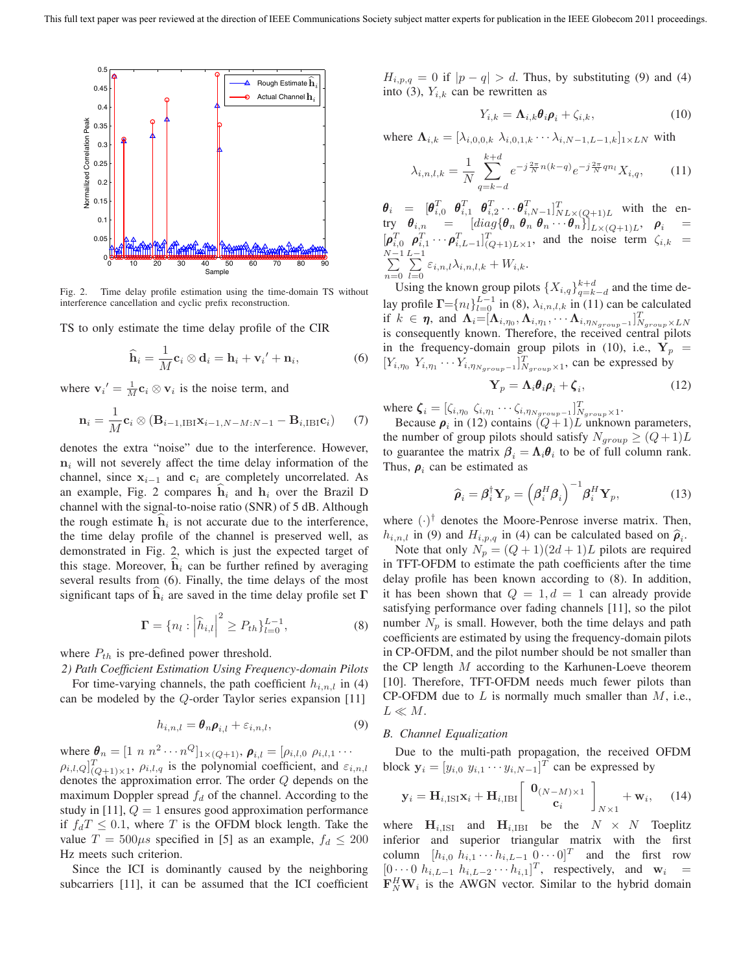

Fig. 2. Time delay profile estimation using the time-domain TS without interference cancellation and cyclic prefix reconstruction.

TS to only estimate the time delay profile of the CIR

$$
\widehat{\mathbf{h}}_i = \frac{1}{M} \mathbf{c}_i \otimes \mathbf{d}_i = \mathbf{h}_i + \mathbf{v}_i' + \mathbf{n}_i,\tag{6}
$$

where  $\mathbf{v}_i' = \frac{1}{M} \mathbf{c}_i \otimes \mathbf{v}_i$  is the noise term, and

$$
\mathbf{n}_{i} = \frac{1}{M}\mathbf{c}_{i} \otimes (\mathbf{B}_{i-1,\mathrm{IBI}}\mathbf{x}_{i-1,N-M:N-1} - \mathbf{B}_{i,\mathrm{IBI}}\mathbf{c}_{i}) \qquad (7)
$$

denotes the extra "noise" due to the interference. However,  $n_i$  will not severely affect the time delay information of the channel, since **<sup>x</sup>**<sup>i</sup>−<sup>1</sup> and **<sup>c</sup>**<sup>i</sup> are completely uncorrelated. As an example, Fig. 2 compares  $\hat{\mathbf{h}}_i$  and  $\mathbf{h}_i$  over the Brazil D channel with the signal-to-noise ratio (SNR) of 5 dB. Although the rough estimate  $\hat{h}_i$  is not accurate due to the interference, the time delay profile of the channel is preserved well, as demonstrated in Fig. 2, which is just the expected target of this stage. Moreover,  $\hat{\mathbf{h}}_i$  can be further refined by averaging several results from (6). Finally, the time delays of the most significant taps of  $\hat{\mathbf{h}}_i$  are saved in the time delay profile set **Γ** 

$$
\Gamma = \{ n_l : \left| \widehat{h}_{i,l} \right|^2 \ge P_{th} \}_{l=0}^{L-1},\tag{8}
$$

where  $P_{th}$  is pre-defined power threshold.

*2) Path Coefficient Estimation Using Frequency-domain Pilots*

For time-varying channels, the path coefficient  $h_{i,n,l}$  in (4) can be modeled by the Q-order Taylor series expansion [11]

$$
h_{i,n,l} = \boldsymbol{\theta}_n \boldsymbol{\rho}_{i,l} + \varepsilon_{i,n,l},\tag{9}
$$

where  $\theta_n = [1 \; n \; n^2 \cdots n^Q]_{1 \times (Q+1)}$ ,  $\rho_{i,l} = [\rho_{i,l,0} \; \rho_{i,l,1} \cdots]$  $\rho_{i,l,Q}|_{(Q+1)\times 1}^T$ ,  $\rho_{i,l,q}$  is the polynomial coefficient, and  $\varepsilon_{i,n,l}$ denotes the approximation error. The order Q depends on the maximum Doppler spread  $f_d$  of the channel. According to the study in [11],  $Q = 1$  ensures good approximation performance if  $f_dT \leq 0.1$ , where T is the OFDM block length. Take the value  $T = 500 \mu s$  specified in [5] as an example,  $f_d \leq 200$ Hz meets such criterion.

Since the ICI is dominantly caused by the neighboring subcarriers [11], it can be assumed that the ICI coefficient  $H_{i,p,q} = 0$  if  $|p - q| > d$ . Thus, by substituting (9) and (4) into (3),  $Y_{i,k}$  can be rewritten as

$$
Y_{i,k} = \Lambda_{i,k} \theta_i \rho_i + \zeta_{i,k}, \qquad (10)
$$

where  $\Lambda_{i,k} = [\lambda_{i,0,0,k} \lambda_{i,0,1,k} \cdots \lambda_{i,N-1,L-1,k}]_{1 \times LN}$  with

$$
\lambda_{i,n,l,k} = \frac{1}{N} \sum_{q=k-d}^{k+d} e^{-j\frac{2\pi}{N}n(k-q)} e^{-j\frac{2\pi}{N}qn_l} X_{i,q}, \quad (11)
$$

 $\theta_i = \begin{bmatrix} \theta_{i,0}^T & \theta_{i,1}^T & \theta_{i,2}^T & \cdots & \theta_{i,N-1}^T \end{bmatrix}_{N L \times (Q+1) L}^T$  with the entry  $\boldsymbol{\theta}_{i,n} = [diag{\{\boldsymbol{\theta}_n \ \boldsymbol{\theta}_n \ \boldsymbol{\theta}_n \ \cdot \cdot \cdot \boldsymbol{\theta}_n\}}]_{L \times (Q+1)L}, \ \ \boldsymbol{\rho}_i =$  $\left[\rho_{i,0}^T \rho_{i,1}^T \cdots \rho_{i,L-1}^T\right]_{(Q+1)L\times 1}^T$ , and the noise term  $\zeta_{i,k}$  =  $\sum_{n=1}^{N-1}$  $n=0$  $\sum_{i=1}^{L-1}$  $\sum_{l=0} \varepsilon_{i,n,l} \lambda_{i,n,l,k} + W_{i,k}.$ 

Using the known group pilots  $\{X_{i,q}\}_{q=k-d}^{k+d}$  and the time delay profile  $\Gamma = \{n_l\}_{l=0}^{L-1}$  in (8),  $\lambda_{i,n,l,k}$  in (11) can be calculated if  $k \in \eta$ , and  $\Lambda_i = [\Lambda_{i,\eta_0}, \Lambda_{i,\eta_1}, \cdots \Lambda_{i,\eta_{N_{group}}-1}]_{N_{group} \times LN}^T$ <br>is consequently known. Therefore, the received central pilots in the frequency-domain group pilots in (10), i.e.,  $Y_p$  =  $[Y_{i,\eta_0} Y_{i,\eta_1} \cdots Y_{i,\eta_{N_{group}-1}}]$ <sup>T</sup><sub>Ngroup</sub>×1, can be expressed by

$$
\mathbf{Y}_p = \mathbf{\Lambda}_i \boldsymbol{\theta}_i \boldsymbol{\rho}_i + \boldsymbol{\zeta}_i, \tag{12}
$$

where  $\boldsymbol{\zeta}_i = [\zeta_{i,\eta_0} \ \zeta_{i,\eta_1} \cdots \zeta_{i,\eta_{N_{group}-1}}]_{N_{group} \times 1}^T$ .<br>Because  $\boldsymbol{\rho}_i$  in (12) contains  $(Q+1)L$  unknown parameters,

the number of group pilots should satisfy  $N_{group} \geq (Q+1)L$ to guarantee the matrix  $\beta_i = \Lambda_i \theta_i$  to be of full column rank. Thus,  $\rho_i$  can be estimated as

$$
\widehat{\boldsymbol{\rho}}_i = \boldsymbol{\beta}_i^{\dagger} \mathbf{Y}_p = \left(\boldsymbol{\beta}_i^H \boldsymbol{\beta}_i\right)^{-1} \boldsymbol{\beta}_i^H \mathbf{Y}_p, \tag{13}
$$

where  $(\cdot)^\dagger$  denotes the Moore-Penrose inverse matrix. Then,  $h_{i,n,l}$  in (9) and  $H_{i,p,q}$  in (4) can be calculated based on  $\hat{\rho}_i$ .

Note that only  $N_p = (Q+1)(2d+1)L$  pilots are required in TFT-OFDM to estimate the path coefficients after the time delay profile has been known according to (8). In addition, it has been shown that  $Q = 1, d = 1$  can already provide satisfying performance over fading channels [11], so the pilot number  $N_p$  is small. However, both the time delays and path coefficients are estimated by using the frequency-domain pilots in CP-OFDM, and the pilot number should be not smaller than the CP length  $M$  according to the Karhunen-Loeve theorem [10]. Therefore, TFT-OFDM needs much fewer pilots than CP-OFDM due to  $L$  is normally much smaller than  $M$ , i.e.,  $L \ll M$ .

## *B. Channel Equalization*

Due to the multi-path propagation, the received OFDM block  $\mathbf{y}_i = [y_{i,0} \ y_{i,1} \cdots y_{i,N-1}]^T$  can be expressed by

$$
\mathbf{y}_{i} = \mathbf{H}_{i,\mathrm{ISI}} \mathbf{x}_{i} + \mathbf{H}_{i,\mathrm{IBI}} \left[ \begin{array}{c} \mathbf{0}_{(N-M) \times 1} \\ \mathbf{c}_{i} \end{array} \right]_{N \times 1} + \mathbf{w}_{i}, \quad (14)
$$

where  $\mathbf{H}_{i,1}$  and  $\mathbf{H}_{i,1}$  be the  $N \times N$  Toeplitz inferior and superior triangular matrix with the first column  $[h_{i,0} h_{i,1} \cdots h_{i,L-1} 0 \cdots 0]^T$  and the first row  $[0 \cdots 0 \; h_{i,L-1} \; h_{i,L-2} \cdots h_{i,1}]^T$ , respectively, and **w**<sub>i</sub> =  $\mathbf{F}_N^H \mathbf{W}_i$  is the AWGN vector. Similar to the hybrid domain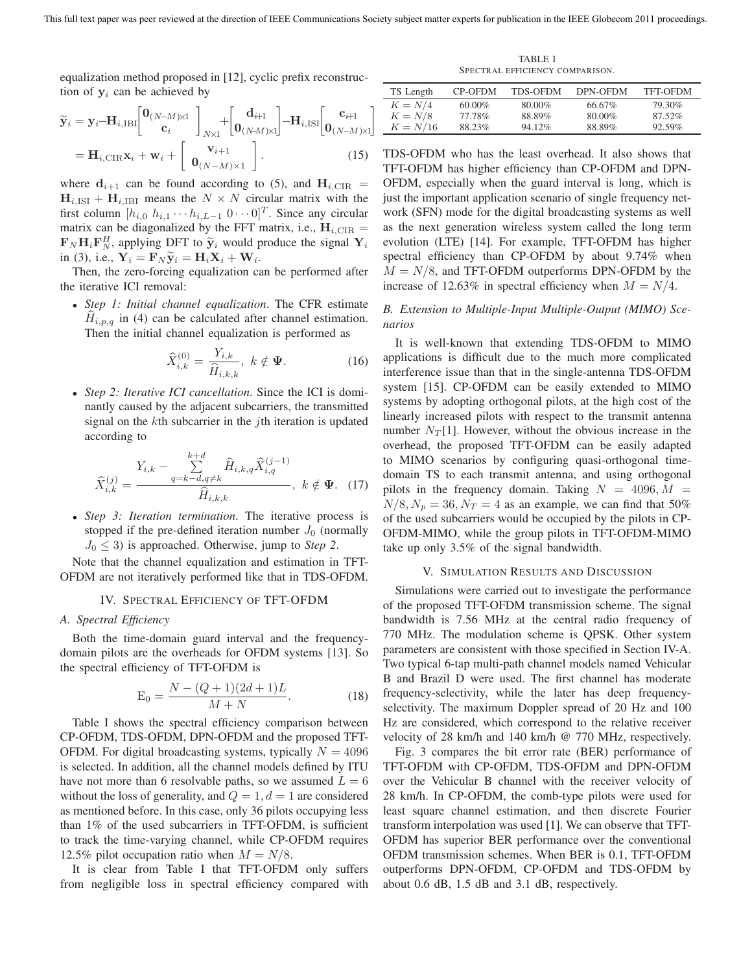equalization method proposed in [12], cyclic prefix reconstruction of  $y_i$  can be achieved by

$$
\widetilde{\mathbf{y}}_i = \mathbf{y}_i - \mathbf{H}_{i,\text{IBI}} \begin{bmatrix} \mathbf{0}_{(N-M)\times 1} \\ \mathbf{c}_i \end{bmatrix}_{N\times 1} + \begin{bmatrix} \mathbf{d}_{i+1} \\ \mathbf{0}_{(N-M)\times 1} \end{bmatrix} - \mathbf{H}_{i,\text{ISI}} \begin{bmatrix} \mathbf{c}_{i+1} \\ \mathbf{0}_{(N-M)\times 1} \end{bmatrix}
$$
\n
$$
= \mathbf{H}_{i,\text{CIR}} \mathbf{x}_i + \mathbf{w}_i + \begin{bmatrix} \mathbf{v}_{i+1} \\ \mathbf{0}_{(N-M)\times 1} \end{bmatrix} .
$$
\n(15)

where  $\mathbf{d}_{i+1}$  can be found according to (5), and  $\mathbf{H}_{i, CIR}$  =  $\mathbf{H}_{i,ISI} + \mathbf{H}_{i,IBI}$  means the  $N \times N$  circular matrix with the first column  $[h_{i,0} \; h_{i,1} \cdots h_{i,L-1} \; 0 \cdots 0]^T$ . Since any circular matrix can be diagonalized by the FFT matrix, i.e.,  $\mathbf{H}_{i, \text{CIR}} =$  $\mathbf{F}_N \mathbf{H}_i \mathbf{F}_N^H$ , applying DFT to  $\widetilde{\mathbf{y}}_i$  would produce the signal  $\mathbf{Y}_i$ in (3), i.e.,  $\mathbf{Y}_i = \mathbf{F}_N \widetilde{\mathbf{y}}_i = \mathbf{H}_i \mathbf{X}_i + \mathbf{W}_i$ .

Then, the zero-forcing equalization can be performed after the iterative ICI removal:

• *Step 1: Initial channel equalization*. The CFR estimate  $H_{i,p,q}$  in (4) can be calculated after channel estimation. Then the initial channel equalization is performed as

$$
\widehat{X}_{i,k}^{(0)} = \frac{Y_{i,k}}{\widehat{H}_{i,k,k}}, \ k \notin \Psi.
$$
\n(16)

• *Step 2: Iterative ICI cancellation*. Since the ICI is dominantly caused by the adjacent subcarriers, the transmitted signal on the kth subcarrier in the *i*th iteration is updated according to

$$
\widehat{X}_{i,k}^{(j)} = \frac{Y_{i,k} - \sum_{q=k-d,q \neq k}^{k+d} \widehat{H}_{i,k,q} \widehat{X}_{i,q}^{(j-1)}}{\widehat{H}_{i,k,k}}, \quad k \notin \Psi. \quad (17)
$$

• *Step 3: Iteration termination*. The iterative process is stopped if the pre-defined iteration number  $J_0$  (normally  $J_0 \leq 3$ ) is approached. Otherwise, jump to *Step 2*.

Note that the channel equalization and estimation in TFT-OFDM are not iteratively performed like that in TDS-OFDM.

## IV. SPECTRAL EFFICIENCY OF TFT-OFDM

# *A. Spectral Efficiency*

Both the time-domain guard interval and the frequencydomain pilots are the overheads for OFDM systems [13]. So the spectral efficiency of TFT-OFDM is

$$
E_0 = \frac{N - (Q+1)(2d+1)L}{M+N}.
$$
 (18)

Table I shows the spectral efficiency comparison between CP-OFDM, TDS-OFDM, DPN-OFDM and the proposed TFT-OFDM. For digital broadcasting systems, typically  $N = 4096$ is selected. In addition, all the channel models defined by ITU have not more than 6 resolvable paths, so we assumed  $L = 6$ without the loss of generality, and  $Q = 1, d = 1$  are considered as mentioned before. In this case, only 36 pilots occupying less than 1% of the used subcarriers in TFT-OFDM, is sufficient to track the time-varying channel, while CP-OFDM requires 12.5% pilot occupation ratio when  $M = N/8$ .

It is clear from Table I that TFT-OFDM only suffers from negligible loss in spectral efficiency compared with

TABLE I SPECTRAL EFFICIENCY COMPARISON.

| TS Length  | CP-OFDM   | <b>TDS-OFDM</b> | DPN-OFDM | <b>TFT-OFDM</b> |
|------------|-----------|-----------------|----------|-----------------|
| $K = N/4$  | $60.00\%$ | 80.00%          | 66.67%   | 79.30%          |
| $K = N/8$  | 77.78%    | 88.89%          | 80.00%   | 87.52%          |
| $K = N/16$ | 88.23%    | $94.12\%$       | 88.89%   | 92.59%          |

TDS-OFDM who has the least overhead. It also shows that TFT-OFDM has higher efficiency than CP-OFDM and DPN-OFDM, especially when the guard interval is long, which is just the important application scenario of single frequency network (SFN) mode for the digital broadcasting systems as well as the next generation wireless system called the long term evolution (LTE) [14]. For example, TFT-OFDM has higher spectral efficiency than CP-OFDM by about 9.74% when  $M = N/8$ , and TFT-OFDM outperforms DPN-OFDM by the increase of 12.63% in spectral efficiency when  $M = N/4$ .

*B. Extension to Multiple-Input Multiple-Output (MIMO) Scenarios*

It is well-known that extending TDS-OFDM to MIMO applications is difficult due to the much more complicated interference issue than that in the single-antenna TDS-OFDM system [15]. CP-OFDM can be easily extended to MIMO systems by adopting orthogonal pilots, at the high cost of the linearly increased pilots with respect to the transmit antenna number  $N_T[1]$ . However, without the obvious increase in the overhead, the proposed TFT-OFDM can be easily adapted to MIMO scenarios by configuring quasi-orthogonal timedomain TS to each transmit antenna, and using orthogonal pilots in the frequency domain. Taking  $N = 4096, M =$  $N/8$ ,  $N_p = 36$ ,  $N_T = 4$  as an example, we can find that 50% of the used subcarriers would be occupied by the pilots in CP-OFDM-MIMO, while the group pilots in TFT-OFDM-MIMO take up only 3.5% of the signal bandwidth.

# V. SIMULATION RESULTS AND DISCUSSION

Simulations were carried out to investigate the performance of the proposed TFT-OFDM transmission scheme. The signal bandwidth is 7.56 MHz at the central radio frequency of 770 MHz. The modulation scheme is QPSK. Other system parameters are consistent with those specified in Section IV-A. Two typical 6-tap multi-path channel models named Vehicular B and Brazil D were used. The first channel has moderate frequency-selectivity, while the later has deep frequencyselectivity. The maximum Doppler spread of 20 Hz and 100 Hz are considered, which correspond to the relative receiver velocity of 28 km/h and 140 km/h @ 770 MHz, respectively.

Fig. 3 compares the bit error rate (BER) performance of TFT-OFDM with CP-OFDM, TDS-OFDM and DPN-OFDM over the Vehicular B channel with the receiver velocity of 28 km/h. In CP-OFDM, the comb-type pilots were used for least square channel estimation, and then discrete Fourier transform interpolation was used [1]. We can observe that TFT-OFDM has superior BER performance over the conventional OFDM transmission schemes. When BER is 0.1, TFT-OFDM outperforms DPN-OFDM, CP-OFDM and TDS-OFDM by about 0.6 dB, 1.5 dB and 3.1 dB, respectively.